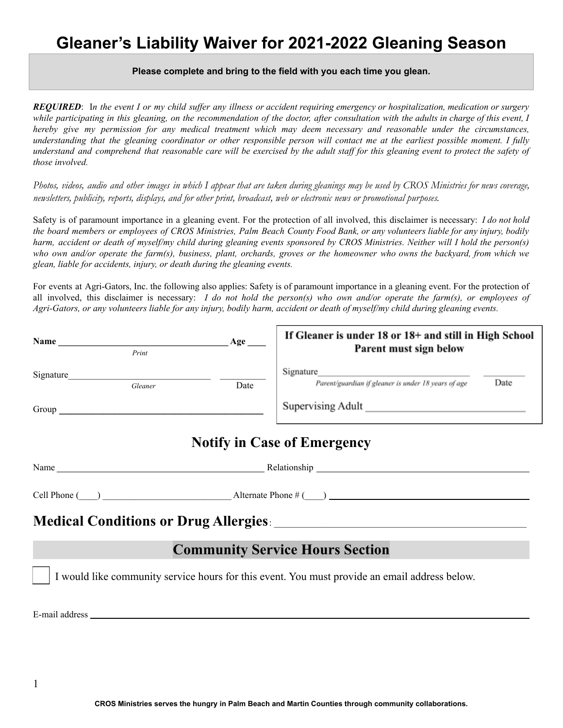# **Gleaner's Liability Waiver for 2021-2022 Gleaning Season**

#### **Please complete and bring to the field with you each time you glean.**

**REOUIRED**: In the event I or my child suffer any illness or accident requiring emergency or hospitalization, medication or surgery while participating in this gleaning, on the recommendation of the doctor, after consultation with the adults in charge of this event, I hereby give my permission for any medical treatment which may deem necessary and reasonable under the circumstances, understanding that the gleaning coordinator or other responsible person will contact me at the earliest possible moment. I fully understand and comprehend that reasonable care will be exercised by the adult staff for this gleaning event to protect the safety of *those involved.*

Photos, videos, audio and other images in which I appear that are taken during gleanings may be used by CROS Ministries for news coverage, newsletters, publicity, reports, displays, and for other print, broadcast, web or electronic news or promotional purposes.

Safety is of paramount importance in a gleaning event. For the protection of all involved, this disclaimer is necessary: *I do not hold* the board members or employees of CROS Ministries, Palm Beach County Food Bank, or any volunteers liable for any injury, bodily harm, accident or death of myself/my child during gleaning events sponsored by CROS Ministries. Neither will I hold the person(s) who own and/or operate the farm(s), business, plant, orchards, groves or the homeowner who owns the backyard, from which we *glean, liable for accidents, injury, or death during the gleaning events.*

For events at Agri-Gators, Inc. the following also applies: Safety is of paramount importance in a gleaning event. For the protection of all involved, this disclaimer is necessary: I do not hold the person(s) who own and/or operate the farm(s), or employees of Agri-Gators, or any volunteers liable for any injury, bodily harm, accident or death of myself/my child during gleaning events.

| Name      | Print        | Age  | If Gleaner is under 18 or 18+ and still in High School<br>Parent must sign below |      |
|-----------|--------------|------|----------------------------------------------------------------------------------|------|
| Signature | Gleaner      | Date | Signature<br>Parent/guardian if gleaner is under 18 years of age                 | Date |
| Group     |              |      | Supervising Adult                                                                |      |
|           |              |      | <b>Notify in Case of Emergency</b>                                               |      |
| Name      | Relationship |      |                                                                                  |      |

| Cell Phone ( |  | Alternate Pho |
|--------------|--|---------------|
|--------------|--|---------------|

# $\text{one } \#$  (  $\Box$ )

### **Medical Conditions or Drug Allergies**: \_\_\_\_\_\_\_\_\_\_\_\_\_\_\_\_\_\_\_\_\_\_\_\_\_\_\_\_\_\_\_\_\_\_\_\_\_\_\_\_\_\_\_\_\_\_\_\_\_\_\_\_\_\_\_

#### **Community Service Hours Section**

I would like community service hours for this event. You must provide an email address below.

E-mail address